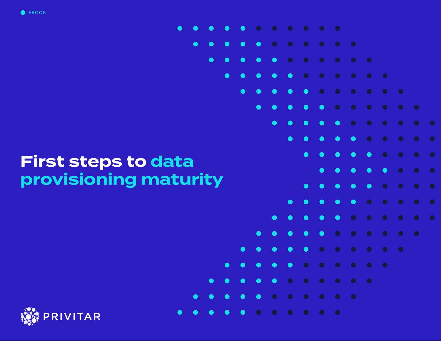

# **First steps to data provisioning maturity**

 $\bullet$ 

 $\bullet$ 



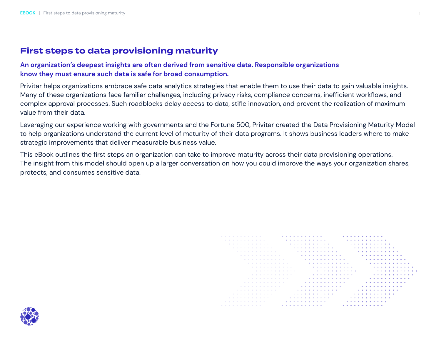# **First steps to data provisioning maturity**

## **An organization's deepest insights are often derived from sensitive data. Responsible organizations know they must ensure such data is safe for broad consumption.**

Privitar helps organizations embrace safe data analytics strategies that enable them to use their data to gain valuable insights. Many of these organizations face familiar challenges, including privacy risks, compliance concerns, inefficient workflows, and complex approval processes. Such roadblocks delay access to data, stifle innovation, and prevent the realization of maximum value from their data.

Leveraging our experience working with governments and the Fortune 500, Privitar created the Data Provisioning Maturity Model to help organizations understand the current level of maturity of their data programs. It shows business leaders where to make strategic improvements that deliver measurable business value.

This eBook outlines the first steps an organization can take to improve maturity across their data provisioning operations. The insight from this model should open up a larger conversation on how you could improve the ways your organization shares, protects, and consumes sensitive data.

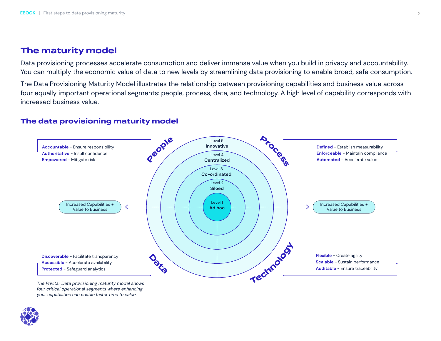# **The maturity model**

Data provisioning processes accelerate consumption and deliver immense value when you build in privacy and accountability. You can multiply the economic value of data to new levels by streamlining data provisioning to enable broad, safe consumption.

The Data Provisioning Maturity Model illustrates the relationship between provisioning capabilities and business value across four equally important operational segments: people, process, data, and technology. A high level of capability corresponds with increased business value.

## **The data provisioning maturity model**



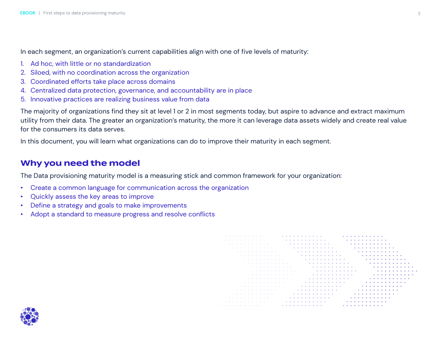In each segment, an organization's current capabilities align with one of five levels of maturity:

- 1. Ad hoc, with little or no standardization
- 2. Siloed, with no coordination across the organization
- 3. Coordinated efforts take place across domains
- 4. Centralized data protection, governance, and accountability are in place
- 5. Innovative practices are realizing business value from data

The majority of organizations find they sit at level 1 or 2 in most segments today, but aspire to advance and extract maximum utility from their data. The greater an organization's maturity, the more it can leverage data assets widely and create real value for the consumers its data serves.

In this document, you will learn what organizations can do to improve their maturity in each segment.

# **Why you need the model**

The Data provisioning maturity model is a measuring stick and common framework for your organization:

- Create a common language for communication across the organization
- Quickly assess the key areas to improve
- Define a strategy and goals to make improvements
- Adopt a standard to measure progress and resolve conflicts

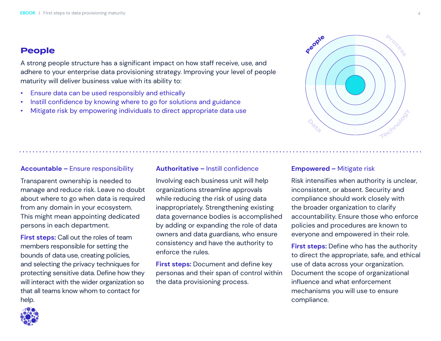# **People**

A strong people structure has a significant impact on how staff receive, use, and adhere to your enterprise data provisioning strategy. Improving your level of people maturity will deliver business value with its ability to:

- Ensure data can be used responsibly and ethically
- Instill confidence by knowing where to go for solutions and guidance
- Mitigate risk by empowering individuals to direct appropriate data use

## **Accountable –** Ensure responsibility

Transparent ownership is needed to manage and reduce risk. Leave no doubt about where to go when data is required from any domain in your ecosystem. This might mean appointing dedicated persons in each department.

**First steps:** Call out the roles of team members responsible for setting the bounds of data use, creating policies, and selecting the privacy techniques for protecting sensitive data. Define how they will interact with the wider organization so that all teams know whom to contact for help.

#### **Authoritative –** Instill confidence

Involving each business unit will help organizations streamline approvals while reducing the risk of using data inappropriately. Strengthening existing data governance bodies is accomplished by adding or expanding the role of data owners and data guardians, who ensure consistency and have the authority to enforce the rules.

**First steps:** Document and define key personas and their span of control within the data provisioning process.

#### **Empowered –** Mitigate risk

Risk intensifies when authority is unclear, inconsistent, or absent. Security and compliance should work closely with the broader organization to clarify accountability. Ensure those who enforce policies and procedures are known to everyone and empowered in their role.

**First steps:** Define who has the authority to direct the appropriate, safe, and ethical use of data across your organization. Document the scope of organizational influence and what enforcement mechanisms you will use to ensure compliance.



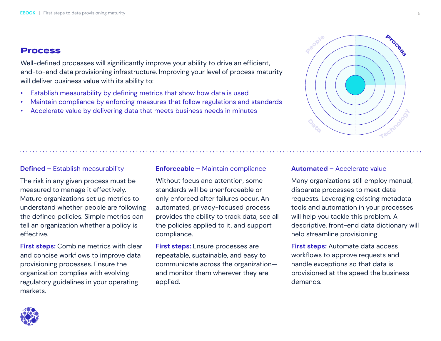## **Process**

Well-defined processes will significantly improve your ability to drive an efficient, end-to-end data provisioning infrastructure. Improving your level of process maturity will deliver business value with its ability to:

- Establish measurability by defining metrics that show how data is used
- Maintain compliance by enforcing measures that follow regulations and standards
- Accelerate value by delivering data that meets business needs in minutes

## **Defined –** Establish measurability

The risk in any given process must be measured to manage it effectively. Mature organizations set up metrics to understand whether people are following the defined policies. Simple metrics can tell an organization whether a policy is effective.

**First steps:** Combine metrics with clear and concise workflows to improve data provisioning processes. Ensure the organization complies with evolving regulatory guidelines in your operating markets.

#### **Enforceable –** Maintain compliance

Without focus and attention, some standards will be unenforceable or only enforced after failures occur. An automated, privacy-focused process provides the ability to track data, see all the policies applied to it, and support compliance.

**First steps:** Ensure processes are repeatable, sustainable, and easy to communicate across the organization and monitor them wherever they are applied.

#### **Automated –** Accelerate value

Many organizations still employ manual, disparate processes to meet data requests. Leveraging existing metadata tools and automation in your processes will help you tackle this problem. A descriptive, front-end data dictionary will help streamline provisioning.

**First steps:** Automate data access workflows to approve requests and handle exceptions so that data is provisioned at the speed the business demands.



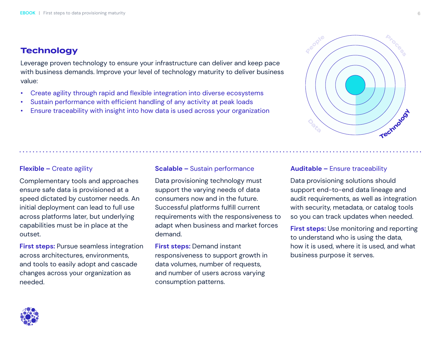# **Technology**

Leverage proven technology to ensure your infrastructure can deliver and keep pace with business demands. Improve your level of technology maturity to deliver business value:

- Create agility through rapid and flexible integration into diverse ecosystems
- Sustain performance with efficient handling of any activity at peak loads
- Ensure traceability with insight into how data is used across your organization

## **Flexible –** Create agility

Complementary tools and approaches ensure safe data is provisioned at a speed dictated by customer needs. An initial deployment can lead to full use across platforms later, but underlying capabilities must be in place at the outset.

**First steps:** Pursue seamless integration across architectures, environments, and tools to easily adopt and cascade changes across your organization as needed.

#### **Scalable –** Sustain performance

Data provisioning technology must support the varying needs of data consumers now and in the future. Successful platforms fulfill current requirements with the responsiveness to adapt when business and market forces demand.

**First steps:** Demand instant responsiveness to support growth in data volumes, number of requests, and number of users across varying consumption patterns.

#### **Auditable –** Ensure traceability

Data provisioning solutions should support end-to-end data lineage and audit requirements, as well as integration with security, metadata, or catalog tools so you can track updates when needed.

**First steps:** Use monitoring and reporting to understand who is using the data, how it is used, where it is used, and what business purpose it serves.



**Peop<sup>l</sup><sup>e</sup>**



**Process**

**Techno<sup>l</sup>og<sup>y</sup>**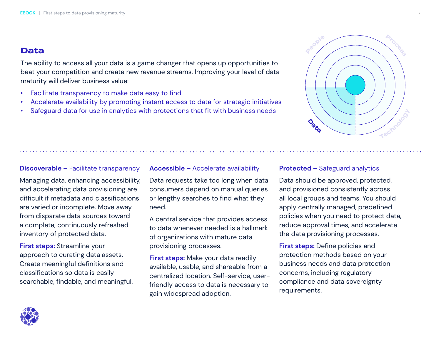## **Data**

The ability to access all your data is a game changer that opens up opportunities to beat your competition and create new revenue streams. Improving your level of data maturity will deliver business value:

- Facilitate transparency to make data easy to find
- Accelerate availability by promoting instant access to data for strategic initiatives
- Safeguard data for use in analytics with protections that fit with business needs

### **Discoverable –** Facilitate transparency

Managing data, enhancing accessibility, and accelerating data provisioning are difficult if metadata and classifications are varied or incomplete. Move away from disparate data sources toward a complete, continuously refreshed inventory of protected data.

**First steps:** Streamline your approach to curating data assets. Create meaningful definitions and classifications so data is easily searchable, findable, and meaningful.

#### **Accessible –** Accelerate availability

Data requests take too long when data consumers depend on manual queries or lengthy searches to find what they need.

A central service that provides access to data whenever needed is a hallmark of organizations with mature data provisioning processes.

**First steps:** Make your data readily available, usable, and shareable from a centralized location. Self-service, userfriendly access to data is necessary to gain widespread adoption.

#### **Protected –** Safeguard analytics

Data should be approved, protected, and provisioned consistently across all local groups and teams. You should apply centrally managed, predefined policies when you need to protect data, reduce approval times, and accelerate the data provisioning processes.

**First steps:** Define policies and protection methods based on your business needs and data protection concerns, including regulatory compliance and data sovereignty requirements.